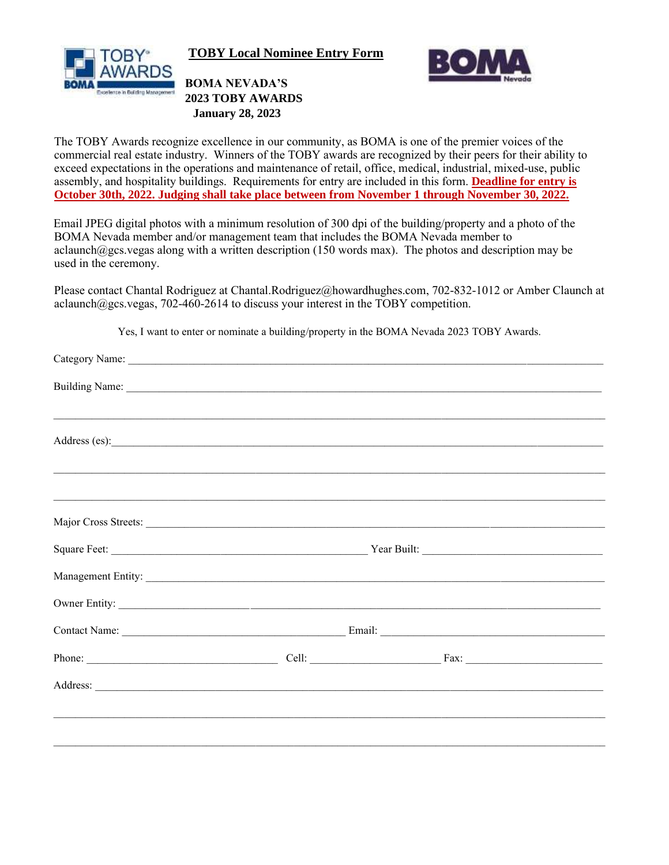

**TOBY Local Nominee Entry Form**



**BOMA NEVADA'S 2023 TOBY AWARDS January 28, 2023**

The TOBY Awards recognize excellence in our community, as BOMA is one of the premier voices of the commercial real estate industry. Winners of the TOBY awards are recognized by their peers for their ability to exceed expectations in the operations and maintenance of retail, office, medical, industrial, mixed-use, public assembly, and hospitality buildings. Requirements for entry are included in this form. **Deadline for entry is October 30th, 2022. Judging shall take place between from November 1 through November 30, 2022.** 

Email JPEG digital photos with a minimum resolution of 300 dpi of the building/property and a photo of the BOMA Nevada member and/or management team that includes the BOMA Nevada member to aclaunch@gcs.vegas along with a written description (150 words max). The photos and description may be used in the ceremony.

Please contact Chantal Rodriguez at Chantal.Rodriguez@howardhughes.com, 702-832-1012 or Amber Claunch at aclaunch $@ggcs.$ vegas, 702-460-2614 to discuss your interest in the TOBY competition.

| Major Cross Streets:                                                                                                                                                                                                                 |  |  |  |
|--------------------------------------------------------------------------------------------------------------------------------------------------------------------------------------------------------------------------------------|--|--|--|
|                                                                                                                                                                                                                                      |  |  |  |
|                                                                                                                                                                                                                                      |  |  |  |
|                                                                                                                                                                                                                                      |  |  |  |
|                                                                                                                                                                                                                                      |  |  |  |
|                                                                                                                                                                                                                                      |  |  |  |
| Address: <u>and a series of the series of the series of the series of the series of the series of the series of the series of the series of the series of the series of the series of the series of the series of the series of </u> |  |  |  |
|                                                                                                                                                                                                                                      |  |  |  |
|                                                                                                                                                                                                                                      |  |  |  |
|                                                                                                                                                                                                                                      |  |  |  |

Yes, I want to enter or nominate a building/property in the BOMA Nevada 2023 TOBY Awards.